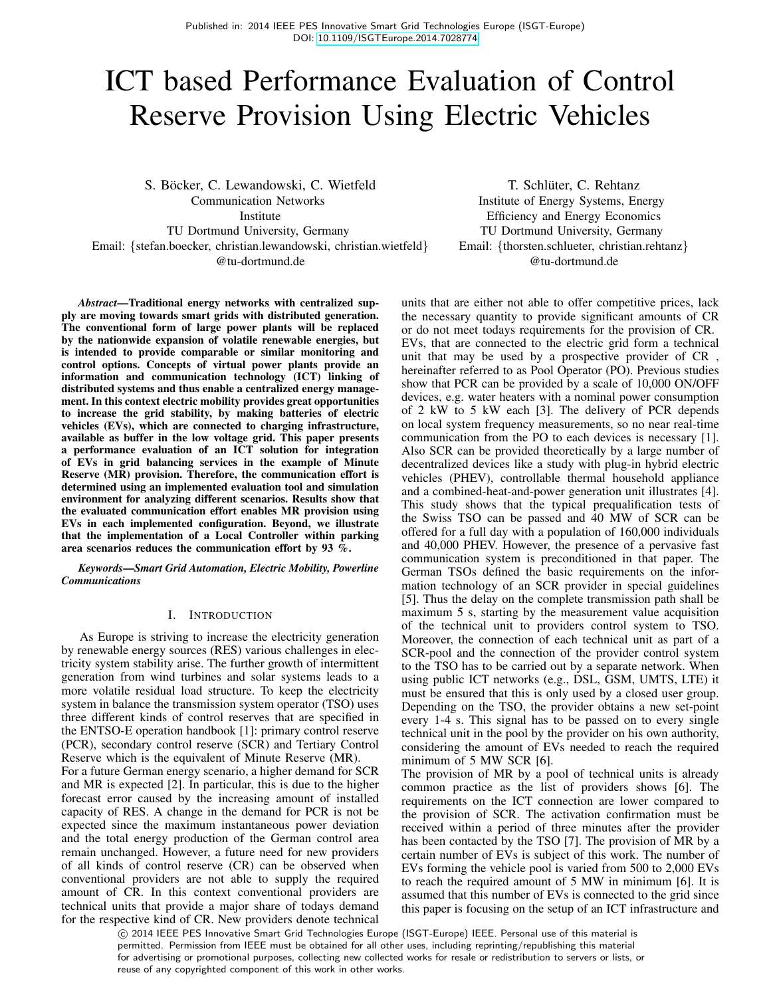# ICT based Performance Evaluation of Control Reserve Provision Using Electric Vehicles

S. Böcker, C. Lewandowski, C. Wietfeld Communication Networks **Institute** TU Dortmund University, Germany Email: {stefan.boecker, christian.lewandowski, christian.wietfeld} @tu-dortmund.de

*Abstract*—Traditional energy networks with centralized supply are moving towards smart grids with distributed generation. The conventional form of large power plants will be replaced by the nationwide expansion of volatile renewable energies, but is intended to provide comparable or similar monitoring and control options. Concepts of virtual power plants provide an information and communication technology (ICT) linking of distributed systems and thus enable a centralized energy management. In this context electric mobility provides great opportunities to increase the grid stability, by making batteries of electric vehicles (EVs), which are connected to charging infrastructure, available as buffer in the low voltage grid. This paper presents a performance evaluation of an ICT solution for integration of EVs in grid balancing services in the example of Minute Reserve (MR) provision. Therefore, the communication effort is determined using an implemented evaluation tool and simulation environment for analyzing different scenarios. Results show that the evaluated communication effort enables MR provision using EVs in each implemented configuration. Beyond, we illustrate that the implementation of a Local Controller within parking area scenarios reduces the communication effort by 93 %.

*Keywords*—*Smart Grid Automation, Electric Mobility, Powerline Communications*

# I. INTRODUCTION

As Europe is striving to increase the electricity generation by renewable energy sources (RES) various challenges in electricity system stability arise. The further growth of intermittent generation from wind turbines and solar systems leads to a more volatile residual load structure. To keep the electricity system in balance the transmission system operator (TSO) uses three different kinds of control reserves that are specified in the ENTSO-E operation handbook [1]: primary control reserve (PCR), secondary control reserve (SCR) and Tertiary Control Reserve which is the equivalent of Minute Reserve (MR). For a future German energy scenario, a higher demand for SCR and MR is expected [2]. In particular, this is due to the higher forecast error caused by the increasing amount of installed capacity of RES. A change in the demand for PCR is not be expected since the maximum instantaneous power deviation and the total energy production of the German control area remain unchanged. However, a future need for new providers of all kinds of control reserve (CR) can be observed when conventional providers are not able to supply the required amount of CR. In this context conventional providers are technical units that provide a major share of todays demand for the respective kind of CR. New providers denote technical

T. Schlüter, C. Rehtanz Institute of Energy Systems, Energy Efficiency and Energy Economics TU Dortmund University, Germany Email: {thorsten.schlueter, christian.rehtanz} @tu-dortmund.de

units that are either not able to offer competitive prices, lack the necessary quantity to provide significant amounts of CR or do not meet todays requirements for the provision of CR. EVs, that are connected to the electric grid form a technical unit that may be used by a prospective provider of CR , hereinafter referred to as Pool Operator (PO). Previous studies show that PCR can be provided by a scale of 10,000 ON/OFF devices, e.g. water heaters with a nominal power consumption of 2 kW to 5 kW each [3]. The delivery of PCR depends on local system frequency measurements, so no near real-time communication from the PO to each devices is necessary [1]. Also SCR can be provided theoretically by a large number of decentralized devices like a study with plug-in hybrid electric vehicles (PHEV), controllable thermal household appliance and a combined-heat-and-power generation unit illustrates [4]. This study shows that the typical prequalification tests of the Swiss TSO can be passed and 40 MW of SCR can be offered for a full day with a population of 160,000 individuals and 40,000 PHEV. However, the presence of a pervasive fast communication system is preconditioned in that paper. The German TSOs defined the basic requirements on the information technology of an SCR provider in special guidelines [5]. Thus the delay on the complete transmission path shall be maximum 5 s, starting by the measurement value acquisition of the technical unit to providers control system to TSO. Moreover, the connection of each technical unit as part of a SCR-pool and the connection of the provider control system to the TSO has to be carried out by a separate network. When using public ICT networks (e.g., DSL, GSM, UMTS, LTE) it must be ensured that this is only used by a closed user group. Depending on the TSO, the provider obtains a new set-point every 1-4 s. This signal has to be passed on to every single technical unit in the pool by the provider on his own authority, considering the amount of EVs needed to reach the required minimum of 5 MW SCR [6].

The provision of MR by a pool of technical units is already common practice as the list of providers shows [6]. The requirements on the ICT connection are lower compared to the provision of SCR. The activation confirmation must be received within a period of three minutes after the provider has been contacted by the TSO [7]. The provision of MR by a certain number of EVs is subject of this work. The number of EVs forming the vehicle pool is varied from 500 to 2,000 EVs to reach the required amount of 5 MW in minimum [6]. It is assumed that this number of EVs is connected to the grid since this paper is focusing on the setup of an ICT infrastructure and

 c 2014 IEEE PES Innovative Smart Grid Technologies Europe (ISGT-Europe) IEEE. Personal use of this material is permitted. Permission from IEEE must be obtained for all other uses, including reprinting/republishing this material for advertising or promotional purposes, collecting new collected works for resale or redistribution to servers or lists, or reuse of any copyrighted component of this work in other works.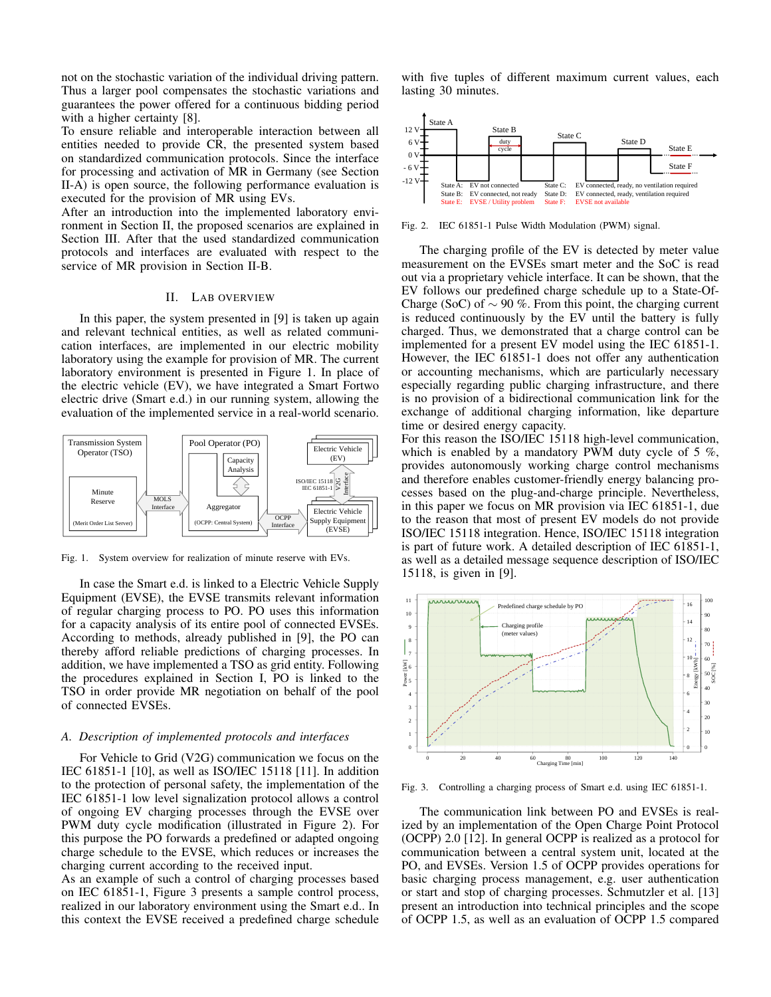not on the stochastic variation of the individual driving pattern. Thus a larger pool compensates the stochastic variations and guarantees the power offered for a continuous bidding period with a higher certainty [8].

To ensure reliable and interoperable interaction between all entities needed to provide CR, the presented system based on standardized communication protocols. Since the interface for processing and activation of MR in Germany (see Section II-A) is open source, the following performance evaluation is executed for the provision of MR using EVs.

After an introduction into the implemented laboratory environment in Section II, the proposed scenarios are explained in Section III. After that the used standardized communication protocols and interfaces are evaluated with respect to the service of MR provision in Section II-B.

#### II. LAB OVERVIEW

In this paper, the system presented in [9] is taken up again and relevant technical entities, as well as related communication interfaces, are implemented in our electric mobility laboratory using the example for provision of MR. The current laboratory environment is presented in Figure 1. In place of the electric vehicle (EV), we have integrated a Smart Fortwo electric drive (Smart e.d.) in our running system, allowing the evaluation of the implemented service in a real-world scenario.



Fig. 1. System overview for realization of minute reserve with EVs.

In case the Smart e.d. is linked to a Electric Vehicle Supply Equipment (EVSE), the EVSE transmits relevant information of regular charging process to PO. PO uses this information for a capacity analysis of its entire pool of connected EVSEs. According to methods, already published in [9], the PO can thereby afford reliable predictions of charging processes. In addition, we have implemented a TSO as grid entity. Following the procedures explained in Section I, PO is linked to the TSO in order provide MR negotiation on behalf of the pool of connected EVSEs.

#### *A. Description of implemented protocols and interfaces*

For Vehicle to Grid (V2G) communication we focus on the IEC 61851-1 [10], as well as ISO/IEC 15118 [11]. In addition to the protection of personal safety, the implementation of the IEC 61851-1 low level signalization protocol allows a control of ongoing EV charging processes through the EVSE over PWM duty cycle modification (illustrated in Figure 2). For this purpose the PO forwards a predefined or adapted ongoing charge schedule to the EVSE, which reduces or increases the charging current according to the received input.

As an example of such a control of charging processes based on IEC 61851-1, Figure 3 presents a sample control process, realized in our laboratory environment using the Smart e.d.. In this context the EVSE received a predefined charge schedule with five tuples of different maximum current values, each lasting 30 minutes.



Fig. 2. IEC 61851-1 Pulse Width Modulation (PWM) signal.

The charging profile of the EV is detected by meter value measurement on the EVSEs smart meter and the SoC is read out via a proprietary vehicle interface. It can be shown, that the EV follows our predefined charge schedule up to a State-Of-Charge (SoC) of  $\sim$  90 %. From this point, the charging current is reduced continuously by the EV until the battery is fully charged. Thus, we demonstrated that a charge control can be implemented for a present EV model using the IEC 61851-1. However, the IEC 61851-1 does not offer any authentication or accounting mechanisms, which are particularly necessary especially regarding public charging infrastructure, and there is no provision of a bidirectional communication link for the exchange of additional charging information, like departure time or desired energy capacity.

For this reason the ISO/IEC 15118 high-level communication, which is enabled by a mandatory PWM duty cycle of 5 %, provides autonomously working charge control mechanisms and therefore enables customer-friendly energy balancing processes based on the plug-and-charge principle. Nevertheless, in this paper we focus on MR provision via IEC 61851-1, due to the reason that most of present EV models do not provide ISO/IEC 15118 integration. Hence, ISO/IEC 15118 integration is part of future work. A detailed description of IEC 61851-1, as well as a detailed message sequence description of ISO/IEC 15118, is given in [9].



Fig. 3. Controlling a charging process of Smart e.d. using IEC 61851-1.

The communication link between PO and EVSEs is realized by an implementation of the Open Charge Point Protocol (OCPP) 2.0 [12]. In general OCPP is realized as a protocol for communication between a central system unit, located at the PO, and EVSEs. Version 1.5 of OCPP provides operations for basic charging process management, e.g. user authentication or start and stop of charging processes. Schmutzler et al. [13] present an introduction into technical principles and the scope of OCPP 1.5, as well as an evaluation of OCPP 1.5 compared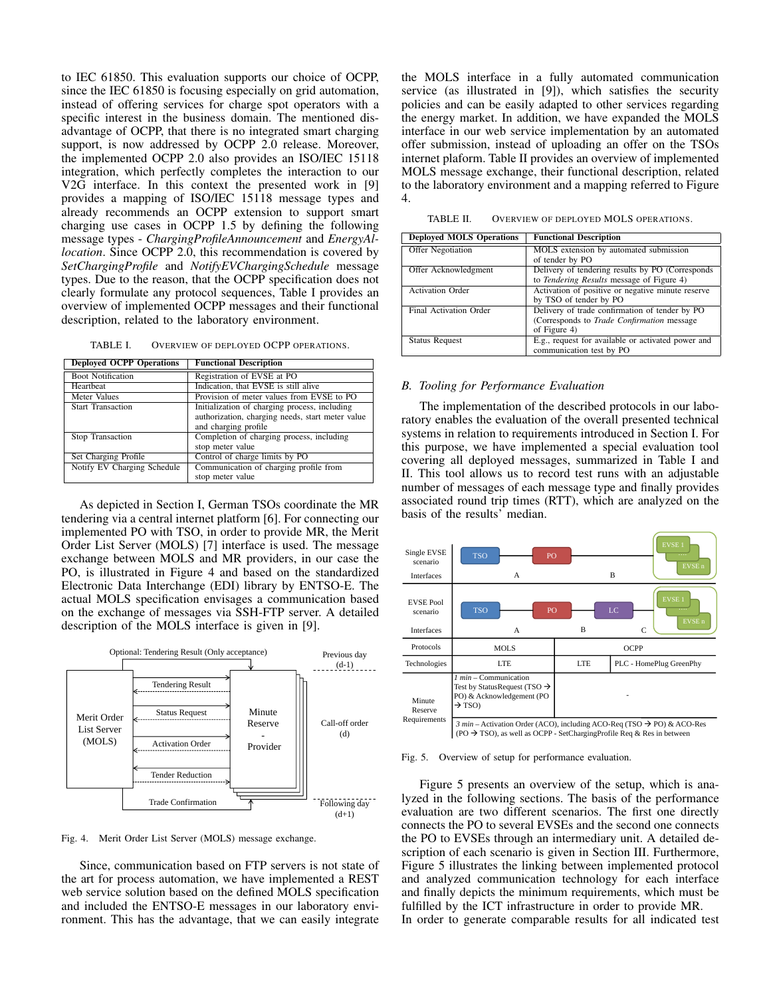to IEC 61850. This evaluation supports our choice of OCPP, since the IEC 61850 is focusing especially on grid automation, instead of offering services for charge spot operators with a specific interest in the business domain. The mentioned disadvantage of OCPP, that there is no integrated smart charging support, is now addressed by OCPP 2.0 release. Moreover, the implemented OCPP 2.0 also provides an ISO/IEC 15118 integration, which perfectly completes the interaction to our V2G interface. In this context the presented work in [9] provides a mapping of ISO/IEC 15118 message types and already recommends an OCPP extension to support smart charging use cases in OCPP 1.5 by defining the following message types - *ChargingProfileAnnouncement* and *EnergyAllocation*. Since OCPP 2.0, this recommendation is covered by *SetChargingProfile* and *NotifyEVChargingSchedule* message types. Due to the reason, that the OCPP specification does not clearly formulate any protocol sequences, Table I provides an overview of implemented OCPP messages and their functional description, related to the laboratory environment.

TABLE I. OVERVIEW OF DEPLOYED OCPP OPERATIONS.

| <b>Deployed OCPP Operations</b> | <b>Functional Description</b>                    |  |  |  |
|---------------------------------|--------------------------------------------------|--|--|--|
| <b>Boot Notification</b>        | Registration of EVSE at PO                       |  |  |  |
| Heartheat                       | Indication, that EVSE is still alive             |  |  |  |
| Meter Values                    | Provision of meter values from EVSE to PO        |  |  |  |
| <b>Start Transaction</b>        | Initialization of charging process, including    |  |  |  |
|                                 | authorization, charging needs, start meter value |  |  |  |
|                                 | and charging profile                             |  |  |  |
| Stop Transaction                | Completion of charging process, including        |  |  |  |
|                                 | stop meter value                                 |  |  |  |
| Set Charging Profile            | Control of charge limits by PO                   |  |  |  |
| Notify EV Charging Schedule     | Communication of charging profile from           |  |  |  |
|                                 | stop meter value                                 |  |  |  |

As depicted in Section I, German TSOs coordinate the MR tendering via a central internet platform [6]. For connecting our implemented PO with TSO, in order to provide MR, the Merit Order List Server (MOLS) [7] interface is used. The message exchange between MOLS and MR providers, in our case the PO, is illustrated in Figure 4 and based on the standardized Electronic Data Interchange (EDI) library by ENTSO-E. The actual MOLS specification envisages a communication based on the exchange of messages via SSH-FTP server. A detailed description of the MOLS interface is given in [9].



Fig. 4. Merit Order List Server (MOLS) message exchange.

Since, communication based on FTP servers is not state of the art for process automation, we have implemented a REST web service solution based on the defined MOLS specification and included the ENTSO-E messages in our laboratory environment. This has the advantage, that we can easily integrate the MOLS interface in a fully automated communication service (as illustrated in [9]), which satisfies the security policies and can be easily adapted to other services regarding the energy market. In addition, we have expanded the MOLS interface in our web service implementation by an automated offer submission, instead of uploading an offer on the TSOs internet plaform. Table II provides an overview of implemented MOLS message exchange, their functional description, related to the laboratory environment and a mapping referred to Figure 4.

TABLE II. OVERVIEW OF DEPLOYED MOLS OPERATIONS.

| <b>Deployed MOLS Operations</b> | <b>Functional Description</b>                      |  |  |
|---------------------------------|----------------------------------------------------|--|--|
| <b>Offer Negotiation</b>        | MOLS extension by automated submission             |  |  |
|                                 | of tender by PO                                    |  |  |
| Offer Acknowledgment            | Delivery of tendering results by PO (Corresponds   |  |  |
|                                 | to Tendering Results message of Figure 4)          |  |  |
| <b>Activation Order</b>         | Activation of positive or negative minute reserve  |  |  |
|                                 | by TSO of tender by PO                             |  |  |
| Final Activation Order          | Delivery of trade confirmation of tender by PO     |  |  |
|                                 | (Corresponds to <i>Trade Confirmation</i> message  |  |  |
|                                 | of Figure 4)                                       |  |  |
| <b>Status Request</b>           | E.g., request for available or activated power and |  |  |
|                                 | communication test by PO                           |  |  |

# *B. Tooling for Performance Evaluation*

The implementation of the described protocols in our laboratory enables the evaluation of the overall presented technical systems in relation to requirements introduced in Section I. For this purpose, we have implemented a special evaluation tool covering all deployed messages, summarized in Table I and II. This tool allows us to record test runs with an adjustable number of messages of each message type and finally provides associated round trip times (RTT), which are analyzed on the basis of the results' median.



Fig. 5. Overview of setup for performance evaluation.

Figure 5 presents an overview of the setup, which is analyzed in the following sections. The basis of the performance evaluation are two different scenarios. The first one directly connects the PO to several EVSEs and the second one connects the PO to EVSEs through an intermediary unit. A detailed description of each scenario is given in Section III. Furthermore, Figure 5 illustrates the linking between implemented protocol and analyzed communication technology for each interface and finally depicts the minimum requirements, which must be fulfilled by the ICT infrastructure in order to provide MR. In order to generate comparable results for all indicated test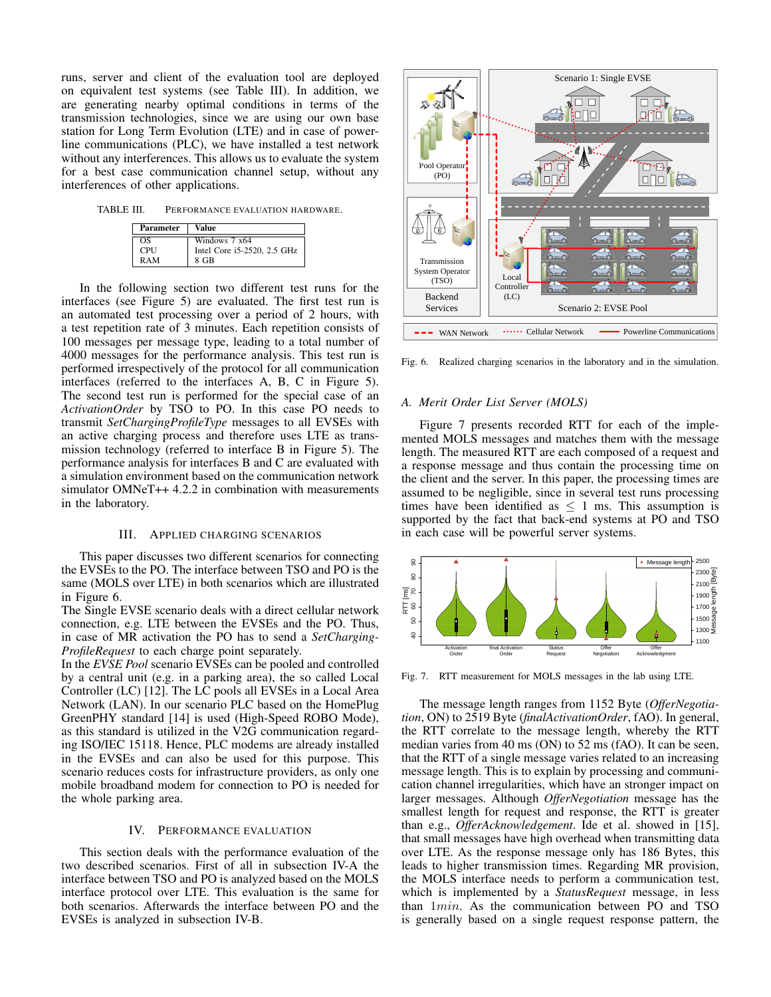runs, server and client of the evaluation tool are deployed on equivalent test systems (see Table III). In addition, we are generating nearby optimal conditions in terms of the transmission technologies, since we are using our own base station for Long Term Evolution (LTE) and in case of powerline communications (PLC), we have installed a test network without any interferences. This allows us to evaluate the system for a best case communication channel setup, without any interferences of other applications.

TABLE III. PERFORMANCE EVALUATION HARDWARE.

| Parameter  | Value                       |
|------------|-----------------------------|
| ΩS         | Windows 7 x64               |
| <b>CPU</b> | Intel Core i5-2520, 2.5 GHz |
| R A M      | 8 GB                        |

In the following section two different test runs for the interfaces (see Figure 5) are evaluated. The first test run is an automated test processing over a period of 2 hours, with a test repetition rate of 3 minutes. Each repetition consists of 100 messages per message type, leading to a total number of 4000 messages for the performance analysis. This test run is performed irrespectively of the protocol for all communication interfaces (referred to the interfaces A, B, C in Figure 5). The second test run is performed for the special case of an *ActivationOrder* by TSO to PO. In this case PO needs to transmit *SetChargingProfileType* messages to all EVSEs with an active charging process and therefore uses LTE as transmission technology (referred to interface B in Figure 5). The performance analysis for interfaces B and C are evaluated with a simulation environment based on the communication network simulator OMNeT++ 4.2.2 in combination with measurements in the laboratory.

#### III. APPLIED CHARGING SCENARIOS

This paper discusses two different scenarios for connecting the EVSEs to the PO. The interface between TSO and PO is the same (MOLS over LTE) in both scenarios which are illustrated in Figure 6.

The Single EVSE scenario deals with a direct cellular network connection, e.g. LTE between the EVSEs and the PO. Thus, in case of MR activation the PO has to send a *SetCharging-ProfileRequest* to each charge point separately.

In the *EVSE Pool* scenario EVSEs can be pooled and controlled by a central unit (e.g. in a parking area), the so called Local Controller (LC) [12]. The LC pools all EVSEs in a Local Area Network (LAN). In our scenario PLC based on the HomePlug GreenPHY standard [14] is used (High-Speed ROBO Mode), as this standard is utilized in the V2G communication regarding ISO/IEC 15118. Hence, PLC modems are already installed in the EVSEs and can also be used for this purpose. This scenario reduces costs for infrastructure providers, as only one mobile broadband modem for connection to PO is needed for the whole parking area.

#### IV. PERFORMANCE EVALUATION

This section deals with the performance evaluation of the two described scenarios. First of all in subsection IV-A the interface between TSO and PO is analyzed based on the MOLS interface protocol over LTE. This evaluation is the same for both scenarios. Afterwards the interface between PO and the EVSEs is analyzed in subsection IV-B.



Fig. 6. Realized charging scenarios in the laboratory and in the simulation.

# *A. Merit Order List Server (MOLS)*

Figure 7 presents recorded RTT for each of the implemented MOLS messages and matches them with the message length. The measured RTT are each composed of a request and a response message and thus contain the processing time on the client and the server. In this paper, the processing times are assumed to be negligible, since in several test runs processing times have been identified as  $\leq 1$  ms. This assumption is supported by the fact that back-end systems at PO and TSO in each case will be powerful server systems.



Fig. 7. RTT measurement for MOLS messages in the lab using LTE.

The message length ranges from 1152 Byte (*OfferNegotiation*, ON) to 2519 Byte (*finalActivationOrder*, fAO). In general, the RTT correlate to the message length, whereby the RTT median varies from 40 ms (ON) to 52 ms (fAO). It can be seen, that the RTT of a single message varies related to an increasing message length. This is to explain by processing and communication channel irregularities, which have an stronger impact on larger messages. Although *OfferNegotiation* message has the smallest length for request and response, the RTT is greater than e.g., *OfferAcknowledgement*. Ide et al. showed in [15], that small messages have high overhead when transmitting data over LTE. As the response message only has 186 Bytes, this leads to higher transmission times. Regarding MR provision, the MOLS interface needs to perform a communication test, which is implemented by a *StatusRequest* message, in less than 1min. As the communication between PO and TSO is generally based on a single request response pattern, the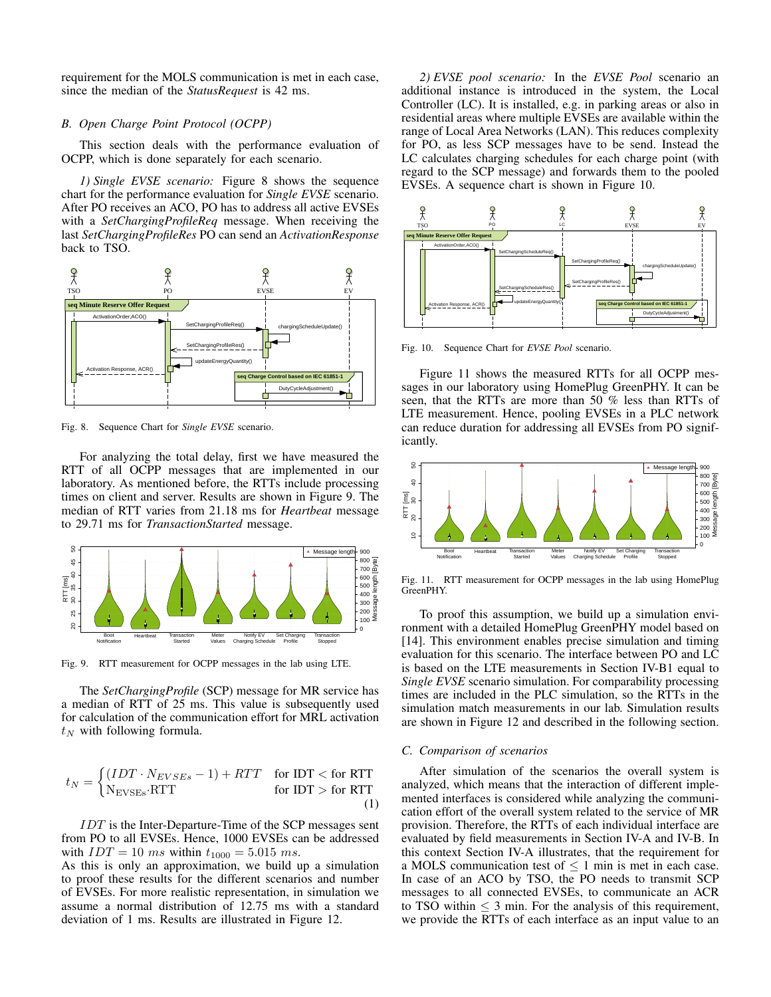requirement for the MOLS communication is met in each case, since the median of the *StatusRequest* is 42 ms.

# *B. Open Charge Point Protocol (OCPP)*

This section deals with the performance evaluation of OCPP, which is done separately for each scenario.

*1) Single EVSE scenario:* Figure 8 shows the sequence chart for the performance evaluation for *Single EVSE* scenario. After PO receives an ACO, PO has to address all active EVSEs with a *SetChargingProfileReq* message. When receiving the last *SetChargingProfileRes* PO can send an *ActivationResponse* back to TSO.



Fig. 8. Sequence Chart for *Single EVSE* scenario.

For analyzing the total delay, first we have measured the RTT of all OCPP messages that are implemented in our laboratory. As mentioned before, the RTTs include processing times on client and server. Results are shown in Figure 9. The median of RTT varies from 21.18 ms for *Heartbeat* message to 29.71 ms for *TransactionStarted* message.



Fig. 9. RTT measurement for OCPP messages in the lab using LTE.

The *SetChargingProfile* (SCP) message for MR service has a median of RTT of 25 ms. This value is subsequently used for calculation of the communication effort for MRL activation  $t_N$  with following formula.

$$
t_N = \begin{cases} (IDT \cdot N_{EVSEs} - 1) + RTT & \text{for IDT} < \text{for RTT} \\ \text{N}_{EVSEs} \cdot RTT & \text{for IDT} > \text{for RTT} \end{cases}
$$
(1)

IDT is the Inter-Departure-Time of the SCP messages sent from PO to all EVSEs. Hence, 1000 EVSEs can be addressed with  $IDT = 10$  ms within  $t_{1000} = 5.015$  ms.

As this is only an approximation, we build up a simulation to proof these results for the different scenarios and number of EVSEs. For more realistic representation, in simulation we assume a normal distribution of 12.75 ms with a standard deviation of 1 ms. Results are illustrated in Figure 12.

*2) EVSE pool scenario:* In the *EVSE Pool* scenario an additional instance is introduced in the system, the Local Controller (LC). It is installed, e.g. in parking areas or also in residential areas where multiple EVSEs are available within the range of Local Area Networks (LAN). This reduces complexity for PO, as less SCP messages have to be send. Instead the LC calculates charging schedules for each charge point (with regard to the SCP message) and forwards them to the pooled EVSEs. A sequence chart is shown in Figure 10.



Fig. 10. Sequence Chart for *EVSE Pool* scenario.

Figure 11 shows the measured RTTs for all OCPP messages in our laboratory using HomePlug GreenPHY. It can be seen, that the RTTs are more than 50 % less than RTTs of LTE measurement. Hence, pooling EVSEs in a PLC network can reduce duration for addressing all EVSEs from PO significantly.



Fig. 11. RTT measurement for OCPP messages in the lab using HomePlug GreenPHY.

To proof this assumption, we build up a simulation environment with a detailed HomePlug GreenPHY model based on [14]. This environment enables precise simulation and timing evaluation for this scenario. The interface between PO and LC is based on the LTE measurements in Section IV-B1 equal to *Single EVSE* scenario simulation. For comparability processing times are included in the PLC simulation, so the RTTs in the simulation match measurements in our lab. Simulation results are shown in Figure 12 and described in the following section.

#### *C. Comparison of scenarios*

After simulation of the scenarios the overall system is analyzed, which means that the interaction of different implemented interfaces is considered while analyzing the communication effort of the overall system related to the service of MR provision. Therefore, the RTTs of each individual interface are evaluated by field measurements in Section IV-A and IV-B. In this context Section IV-A illustrates, that the requirement for a MOLS communication test of  $\leq 1$  min is met in each case. In case of an ACO by TSO, the PO needs to transmit SCP messages to all connected EVSEs, to communicate an ACR to TSO within  $\leq$  3 min. For the analysis of this requirement, we provide the RTTs of each interface as an input value to an